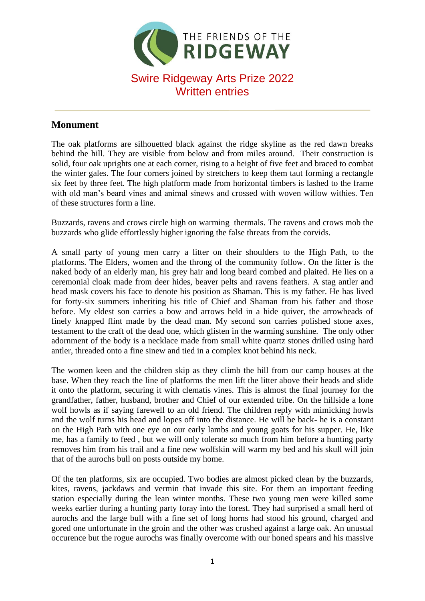

## **Monument**

The oak platforms are silhouetted black against the ridge skyline as the red dawn breaks behind the hill. They are visible from below and from miles around. Their construction is solid, four oak uprights one at each corner, rising to a height of five feet and braced to combat the winter gales. The four corners joined by stretchers to keep them taut forming a rectangle six feet by three feet. The high platform made from horizontal timbers is lashed to the frame with old man's beard vines and animal sinews and crossed with woven willow withies. Ten of these structures form a line.

Buzzards, ravens and crows circle high on warming thermals. The ravens and crows mob the buzzards who glide effortlessly higher ignoring the false threats from the corvids.

A small party of young men carry a litter on their shoulders to the High Path, to the platforms. The Elders, women and the throng of the community follow. On the litter is the naked body of an elderly man, his grey hair and long beard combed and plaited. He lies on a ceremonial cloak made from deer hides, beaver pelts and ravens feathers. A stag antler and head mask covers his face to denote his position as Shaman. This is my father. He has lived for forty-six summers inheriting his title of Chief and Shaman from his father and those before. My eldest son carries a bow and arrows held in a hide quiver, the arrowheads of finely knapped flint made by the dead man. My second son carries polished stone axes, testament to the craft of the dead one, which glisten in the warming sunshine. The only other adornment of the body is a necklace made from small white quartz stones drilled using hard antler, threaded onto a fine sinew and tied in a complex knot behind his neck.

The women keen and the children skip as they climb the hill from our camp houses at the base. When they reach the line of platforms the men lift the litter above their heads and slide it onto the platform, securing it with clematis vines. This is almost the final journey for the grandfather, father, husband, brother and Chief of our extended tribe. On the hillside a lone wolf howls as if saying farewell to an old friend. The children reply with mimicking howls and the wolf turns his head and lopes off into the distance. He will be back- he is a constant on the High Path with one eye on our early lambs and young goats for his supper. He, like me, has a family to feed , but we will only tolerate so much from him before a hunting party removes him from his trail and a fine new wolfskin will warm my bed and his skull will join that of the aurochs bull on posts outside my home.

Of the ten platforms, six are occupied. Two bodies are almost picked clean by the buzzards, kites, ravens, jackdaws and vermin that invade this site. For them an important feeding station especially during the lean winter months. These two young men were killed some weeks earlier during a hunting party foray into the forest. They had surprised a small herd of aurochs and the large bull with a fine set of long horns had stood his ground, charged and gored one unfortunate in the groin and the other was crushed against a large oak. An unusual occurence but the rogue aurochs was finally overcome with our honed spears and his massive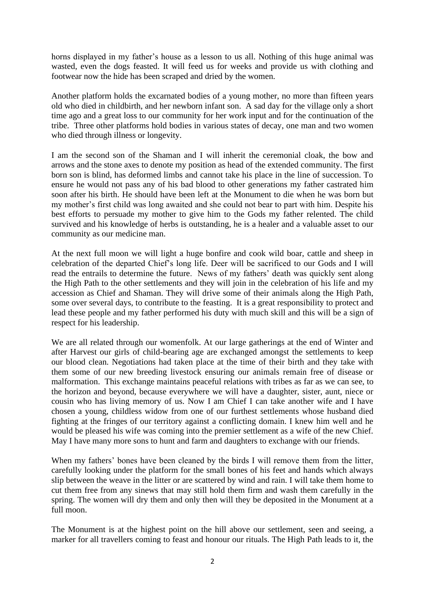horns displayed in my father's house as a lesson to us all. Nothing of this huge animal was wasted, even the dogs feasted. It will feed us for weeks and provide us with clothing and footwear now the hide has been scraped and dried by the women.

Another platform holds the excarnated bodies of a young mother, no more than fifteen years old who died in childbirth, and her newborn infant son. A sad day for the village only a short time ago and a great loss to our community for her work input and for the continuation of the tribe. Three other platforms hold bodies in various states of decay, one man and two women who died through illness or longevity.

I am the second son of the Shaman and I will inherit the ceremonial cloak, the bow and arrows and the stone axes to denote my position as head of the extended community. The first born son is blind, has deformed limbs and cannot take his place in the line of succession. To ensure he would not pass any of his bad blood to other generations my father castrated him soon after his birth. He should have been left at the Monument to die when he was born but my mother's first child was long awaited and she could not bear to part with him. Despite his best efforts to persuade my mother to give him to the Gods my father relented. The child survived and his knowledge of herbs is outstanding, he is a healer and a valuable asset to our community as our medicine man.

At the next full moon we will light a huge bonfire and cook wild boar, cattle and sheep in celebration of the departed Chief's long life. Deer will be sacrificed to our Gods and I will read the entrails to determine the future. News of my fathers' death was quickly sent along the High Path to the other settlements and they will join in the celebration of his life and my accession as Chief and Shaman. They will drive some of their animals along the High Path, some over several days, to contribute to the feasting. It is a great responsibility to protect and lead these people and my father performed his duty with much skill and this will be a sign of respect for his leadership.

We are all related through our womenfolk. At our large gatherings at the end of Winter and after Harvest our girls of child-bearing age are exchanged amongst the settlements to keep our blood clean. Negotiations had taken place at the time of their birth and they take with them some of our new breeding livestock ensuring our animals remain free of disease or malformation. This exchange maintains peaceful relations with tribes as far as we can see, to the horizon and beyond, because everywhere we will have a daughter, sister, aunt, niece or cousin who has living memory of us. Now I am Chief I can take another wife and I have chosen a young, childless widow from one of our furthest settlements whose husband died fighting at the fringes of our territory against a conflicting domain. I knew him well and he would be pleased his wife was coming into the premier settlement as a wife of the new Chief. May I have many more sons to hunt and farm and daughters to exchange with our friends.

When my fathers' bones have been cleaned by the birds I will remove them from the litter, carefully looking under the platform for the small bones of his feet and hands which always slip between the weave in the litter or are scattered by wind and rain. I will take them home to cut them free from any sinews that may still hold them firm and wash them carefully in the spring. The women will dry them and only then will they be deposited in the Monument at a full moon.

The Monument is at the highest point on the hill above our settlement, seen and seeing, a marker for all travellers coming to feast and honour our rituals. The High Path leads to it, the